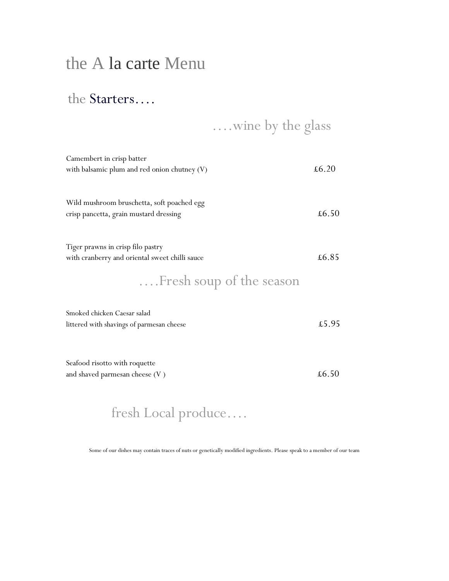# the A la carte Menu

#### the Starters….

….wine by the glass

| Camembert in crisp batter                                                           |                |
|-------------------------------------------------------------------------------------|----------------|
| with balsamic plum and red onion chutney (V)                                        | $\pounds 6.20$ |
|                                                                                     |                |
| Wild mushroom bruschetta, soft poached egg                                          |                |
| crisp pancetta, grain mustard dressing                                              | £6.50          |
|                                                                                     |                |
|                                                                                     |                |
| Tiger prawns in crisp filo pastry<br>with cranberry and oriental sweet chilli sauce | £6.85          |
|                                                                                     |                |
| Fresh soup of the season                                                            |                |
|                                                                                     |                |
| Smoked chicken Caesar salad                                                         |                |
| littered with shavings of parmesan cheese                                           | £5.95          |
|                                                                                     |                |
|                                                                                     |                |
| Seafood risotto with roquette                                                       | $\pounds 6.50$ |
| and shaved parmesan cheese $(V)$                                                    |                |
|                                                                                     |                |

# fresh Local produce….

Some of our dishes may contain traces of nuts or genetically modified ingredients. Please speak to a member of our team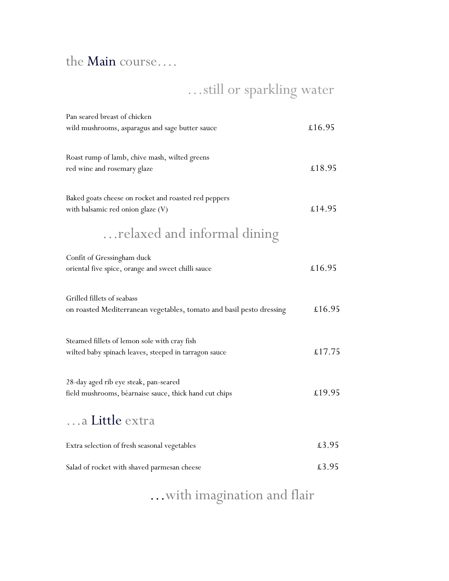#### the Main course….

…still or sparkling water

| Pan seared breast of chicken<br>wild mushrooms, asparagus and sage butter sauce                       | £16.95 |
|-------------------------------------------------------------------------------------------------------|--------|
| Roast rump of lamb, chive mash, wilted greens<br>red wine and rosemary glaze                          | £18.95 |
| Baked goats cheese on rocket and roasted red peppers<br>with balsamic red onion glaze (V)             | £14.95 |
| relaxed and informal dining                                                                           |        |
| Confit of Gressingham duck<br>oriental five spice, orange and sweet chilli sauce                      | £16.95 |
| Grilled fillets of seabass<br>on roasted Mediterranean vegetables, tomato and basil pesto dressing    | £16.95 |
| Steamed fillets of lemon sole with cray fish<br>wilted baby spinach leaves, steeped in tarragon sauce | £17.75 |
| 28-day aged rib eye steak, pan-seared<br>field mushrooms, béarnaise sauce, thick hand cut chips       | £19.95 |
| a Little extra                                                                                        |        |
| Extra selection of fresh seasonal vegetables                                                          | £3.95  |
| Salad of rocket with shaved parmesan cheese                                                           | £3.95  |

…with imagination and flair